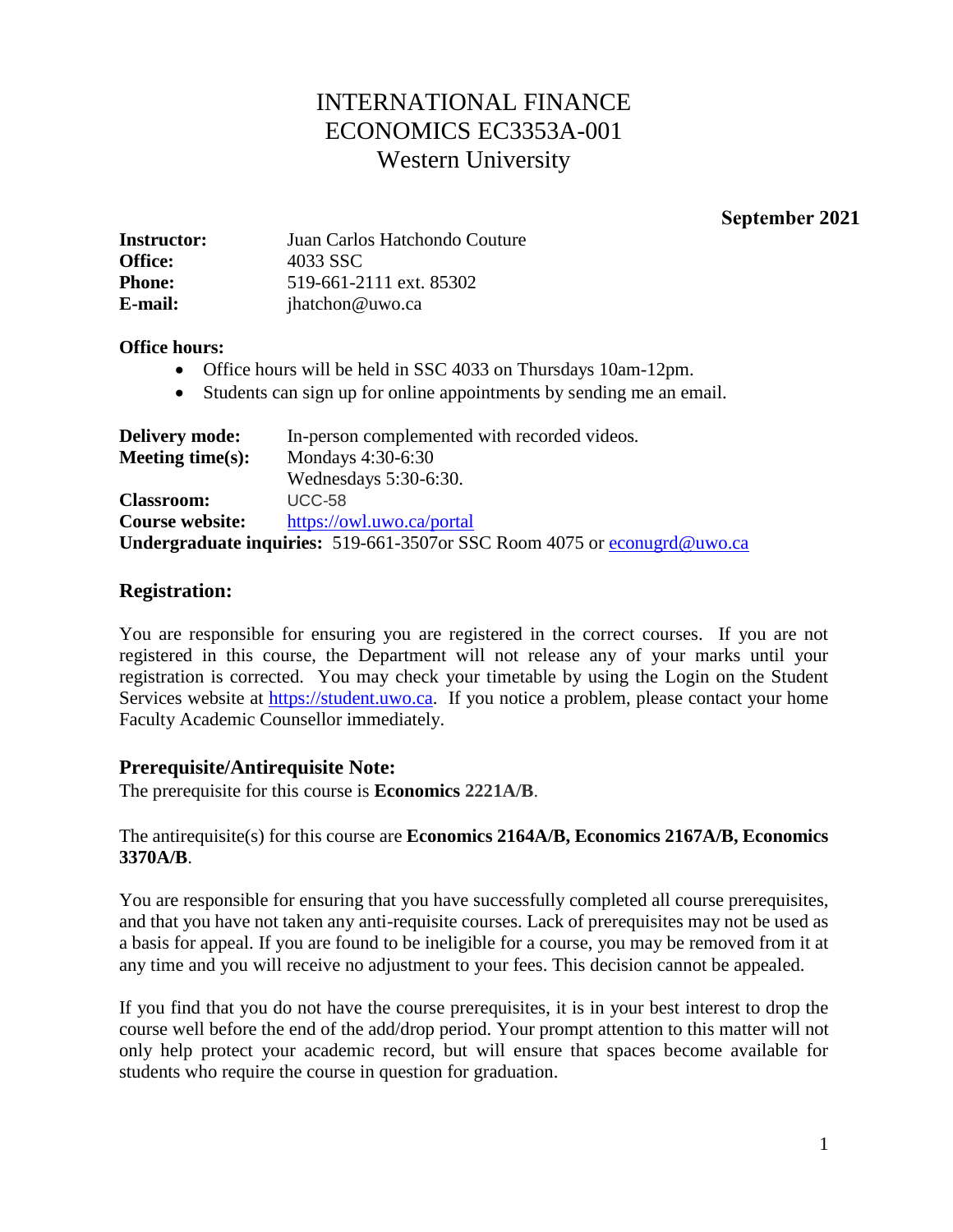# INTERNATIONAL FINANCE ECONOMICS EC3353A-001 Western University

**September 2021** 

| <b>Instructor:</b> | Juan Carlos Hatchondo Couture |
|--------------------|-------------------------------|
| <b>Office:</b>     | 4033 SSC                      |
| <b>Phone:</b>      | 519-661-2111 ext. 85302       |
| E-mail:            | jhatchon@uwo.ca               |

### **Office hours:**

- Office hours will be held in SSC 4033 on Thursdays 10am-12pm.
- Students can sign up for online appointments by sending me an email.

| <b>Delivery mode:</b> | In-person complemented with recorded videos.                              |
|-----------------------|---------------------------------------------------------------------------|
| Meeting time $(s)$ :  | Mondays 4:30-6:30                                                         |
|                       | Wednesdays 5:30-6:30.                                                     |
| <b>Classroom:</b>     | <b>UCC-58</b>                                                             |
| Course website:       | https://owl.uwo.ca/portal                                                 |
|                       | Undergraduate inquiries: 519-661-3507 or SSC Room 4075 or econugra@uwo.ca |

# **Registration:**

You are responsible for ensuring you are registered in the correct courses. If you are not registered in this course, the Department will not release any of your marks until your registration is corrected. You may check your timetable by using the Login on the Student Services website at [https://student.uwo.ca.](https://student.uwo.ca/) If you notice a problem, please contact your home Faculty Academic Counsellor immediately.

# **Prerequisite/Antirequisite Note:**

The prerequisite for this course is **Economics 2221A/B**.

#### The antirequisite(s) for this course are **Economics 2164A/B, Economics 2167A/B, Economics 3370A/B**.

You are responsible for ensuring that you have successfully completed all course prerequisites, and that you have not taken any anti-requisite courses. Lack of prerequisites may not be used as a basis for appeal. If you are found to be ineligible for a course, you may be removed from it at any time and you will receive no adjustment to your fees. This decision cannot be appealed.

If you find that you do not have the course prerequisites, it is in your best interest to drop the course well before the end of the add/drop period. Your prompt attention to this matter will not only help protect your academic record, but will ensure that spaces become available for students who require the course in question for graduation.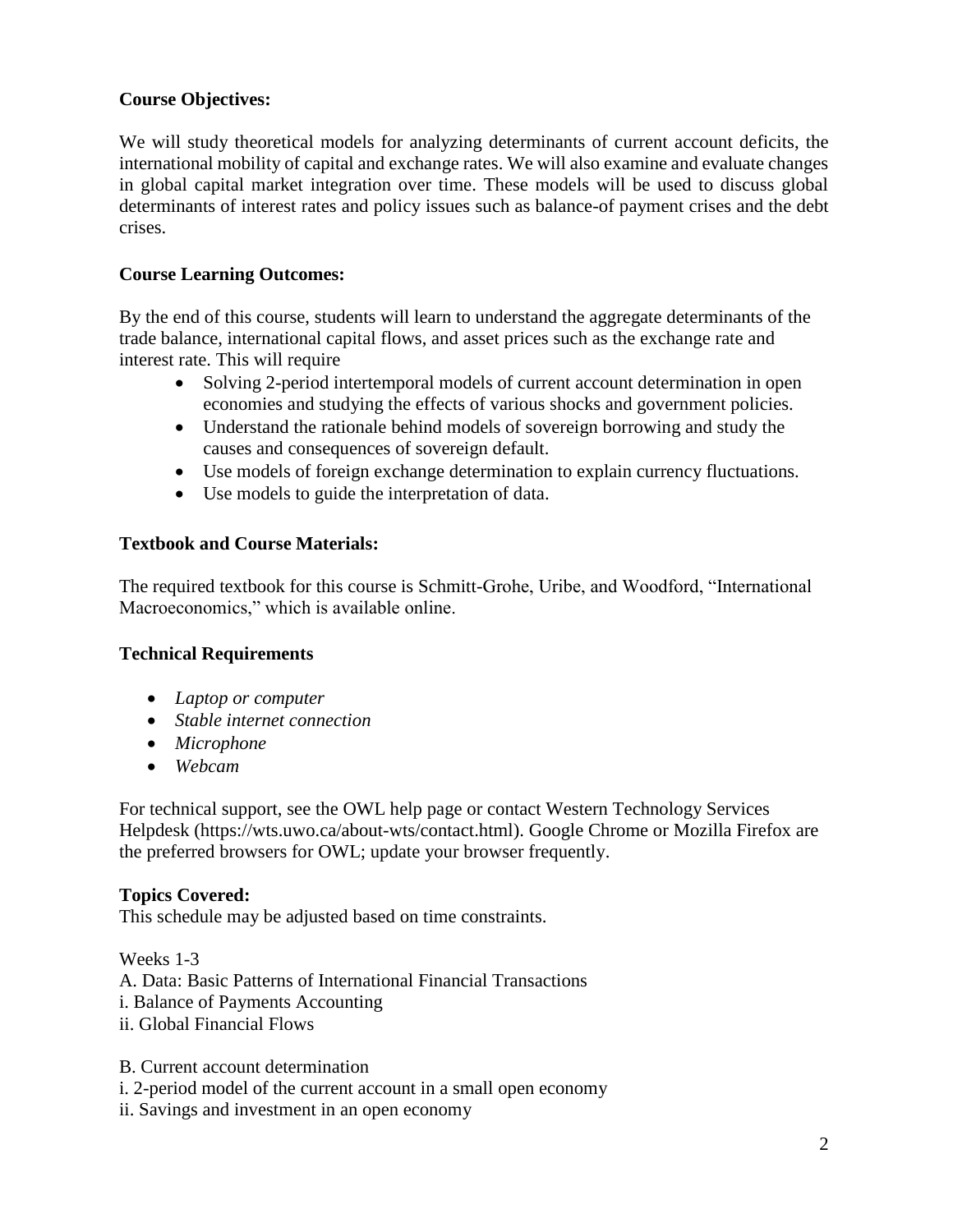# **Course Objectives:**

We will study theoretical models for analyzing determinants of current account deficits, the international mobility of capital and exchange rates. We will also examine and evaluate changes in global capital market integration over time. These models will be used to discuss global determinants of interest rates and policy issues such as balance-of payment crises and the debt crises.

# **Course Learning Outcomes:**

By the end of this course, students will learn to understand the aggregate determinants of the trade balance, international capital flows, and asset prices such as the exchange rate and interest rate. This will require

- Solving 2-period intertemporal models of current account determination in open economies and studying the effects of various shocks and government policies.
- Understand the rationale behind models of sovereign borrowing and study the causes and consequences of sovereign default.
- Use models of foreign exchange determination to explain currency fluctuations.
- Use models to guide the interpretation of data.

# **Textbook and Course Materials:**

The required textbook for this course is Schmitt-Grohe, Uribe, and Woodford, "International Macroeconomics," which is available online.

# **Technical Requirements**

- *Laptop or computer*
- *Stable internet connection*
- *Microphone*
- *Webcam*

For technical support, see the OWL help page or contact Western Technology Services Helpdesk [\(https://wts.uwo.ca/about-wts/contact.html\)](https://wts.uwo.ca/about-wts/contact.html). Google Chrome or Mozilla Firefox are the preferred browsers for OWL; update your browser frequently.

#### **Topics Covered:**

This schedule may be adjusted based on time constraints.

Weeks 1-3 A. Data: Basic Patterns of International Financial Transactions i. Balance of Payments Accounting

ii. Global Financial Flows

B. Current account determination

i. 2-period model of the current account in a small open economy

ii. Savings and investment in an open economy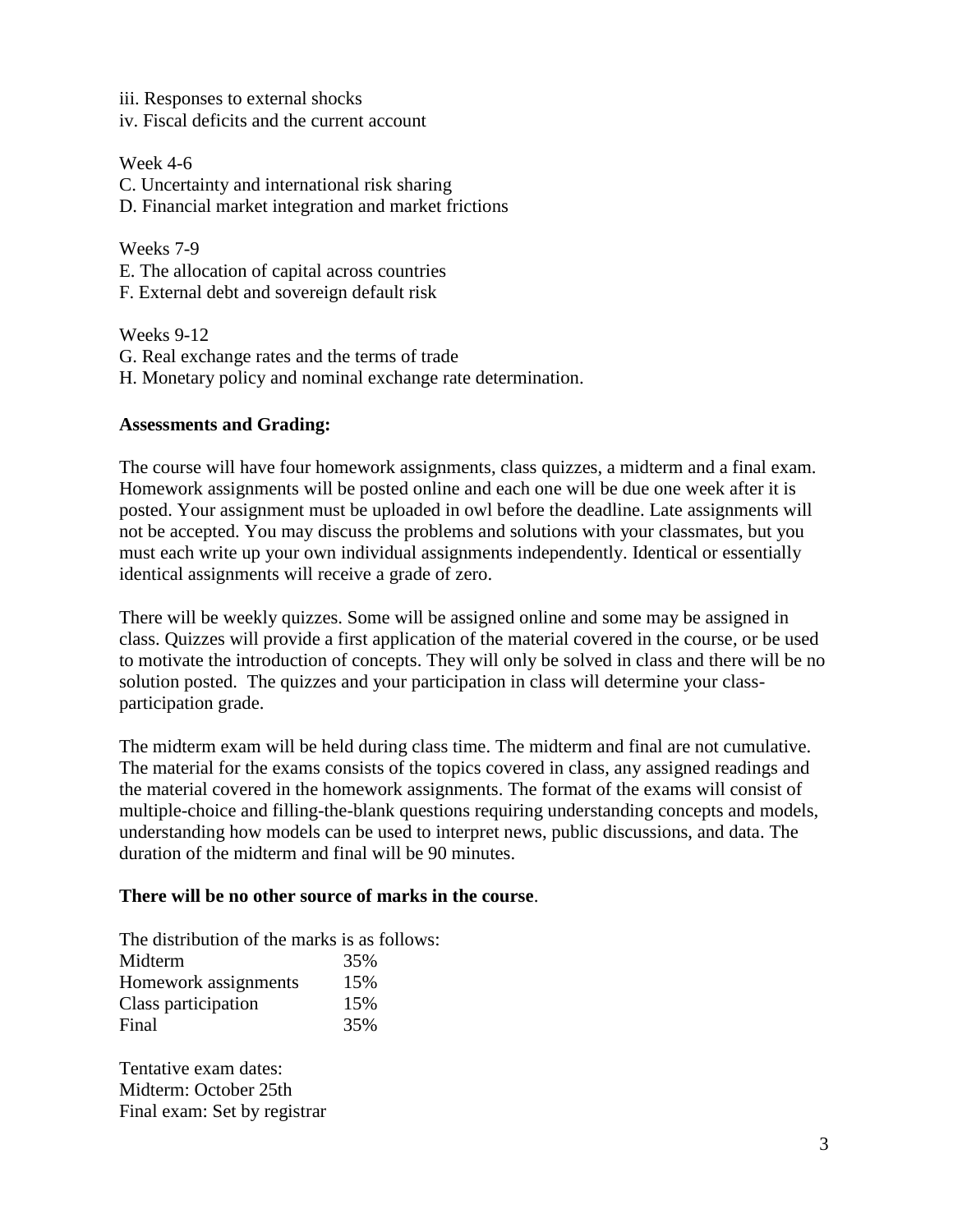iii. Responses to external shocks iv. Fiscal deficits and the current account

Week 4-6 C. Uncertainty and international risk sharing D. Financial market integration and market frictions

Weeks 7-9 E. The allocation of capital across countries F. External debt and sovereign default risk

Weeks 9-12 G. Real exchange rates and the terms of trade H. Monetary policy and nominal exchange rate determination.

### **Assessments and Grading:**

The course will have four homework assignments, class quizzes, a midterm and a final exam. Homework assignments will be posted online and each one will be due one week after it is posted. Your assignment must be uploaded in owl before the deadline. Late assignments will not be accepted. You may discuss the problems and solutions with your classmates, but you must each write up your own individual assignments independently. Identical or essentially identical assignments will receive a grade of zero.

There will be weekly quizzes. Some will be assigned online and some may be assigned in class. Quizzes will provide a first application of the material covered in the course, or be used to motivate the introduction of concepts. They will only be solved in class and there will be no solution posted. The quizzes and your participation in class will determine your classparticipation grade.

The midterm exam will be held during class time. The midterm and final are not cumulative. The material for the exams consists of the topics covered in class, any assigned readings and the material covered in the homework assignments. The format of the exams will consist of multiple-choice and filling-the-blank questions requiring understanding concepts and models, understanding how models can be used to interpret news, public discussions, and data. The duration of the midterm and final will be 90 minutes.

#### **There will be no other source of marks in the course**.

The distribution of the marks is as follows: Midterm 35% Homework assignments 15% Class participation 15% Final 35%

Tentative exam dates: Midterm: October 25th Final exam: Set by registrar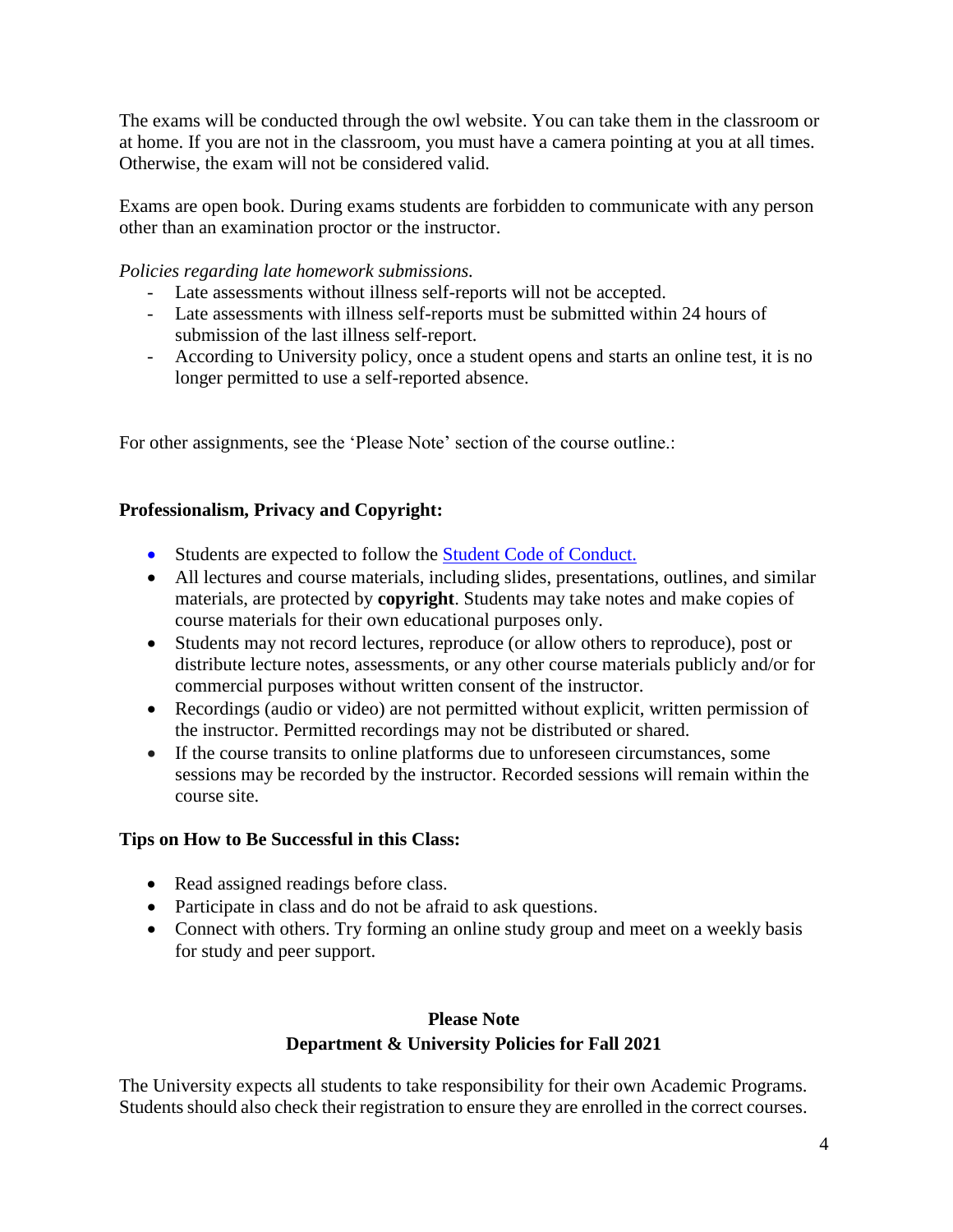The exams will be conducted through the owl website. You can take them in the classroom or at home. If you are not in the classroom, you must have a camera pointing at you at all times. Otherwise, the exam will not be considered valid.

Exams are open book. During exams students are forbidden to communicate with any person other than an examination proctor or the instructor.

# *Policies regarding late homework submissions.*

- Late assessments without illness self-reports will not be accepted.
- Late assessments with illness self-reports must be submitted within 24 hours of submission of the last illness self-report.
- According to University policy, once a student opens and starts an online test, it is no longer permitted to use a self-reported absence.

For other assignments, see the 'Please Note' section of the course outline.:

### **Professionalism, Privacy and Copyright:**

- Students are expected to follow the [Student Code of Conduct.](https://www.uwo.ca/univsec/pdf/board/code.pdf)
- All lectures and course materials, including slides, presentations, outlines, and similar materials, are protected by **copyright**. Students may take notes and make copies of course materials for their own educational purposes only.
- Students may not record lectures, reproduce (or allow others to reproduce), post or distribute lecture notes, assessments, or any other course materials publicly and/or for commercial purposes without written consent of the instructor.
- Recordings (audio or video) are not permitted without explicit, written permission of the instructor. Permitted recordings may not be distributed or shared.
- If the course transits to online platforms due to unforeseen circumstances, some sessions may be recorded by the instructor. Recorded sessions will remain within the course site.

# **Tips on How to Be Successful in this Class:**

- Read assigned readings before class.
- Participate in class and do not be afraid to ask questions.
- Connect with others. Try forming an online study group and meet on a weekly basis for study and peer support.

# **Please Note Department & University Policies for Fall 2021**

The University expects all students to take responsibility for their own Academic Programs. Students should also check their registration to ensure they are enrolled in the correct courses.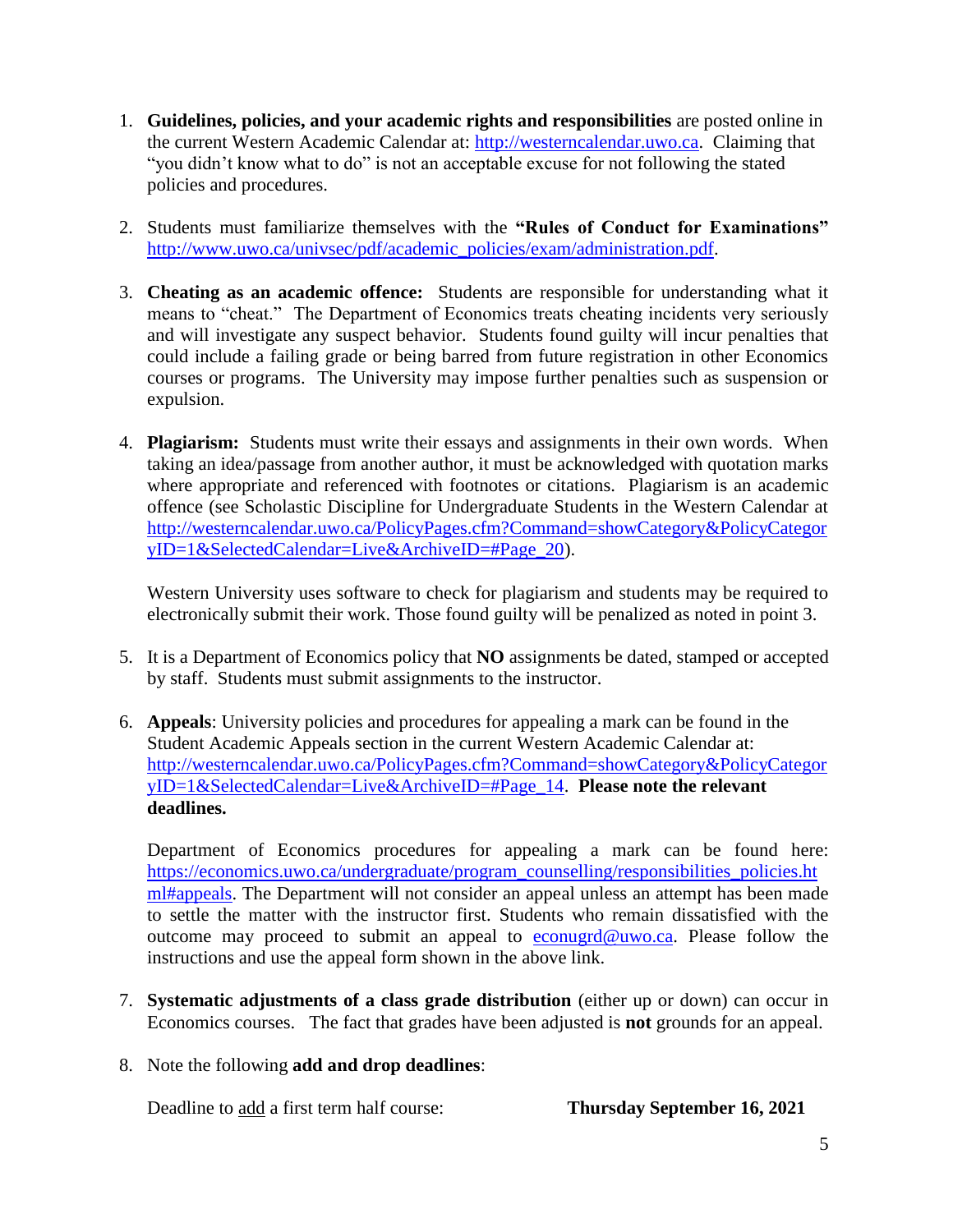- 1. **Guidelines, policies, and your academic rights and responsibilities** are posted online in the current Western Academic Calendar at: [http://westerncalendar.uwo.ca.](http://westerncalendar.uwo.ca/) Claiming that "you didn't know what to do" is not an acceptable excuse for not following the stated policies and procedures.
- 2. Students must familiarize themselves with the **"Rules of Conduct for Examinations"** [http://www.uwo.ca/univsec/pdf/academic\\_policies/exam/administration.pdf.](http://www.uwo.ca/univsec/pdf/academic_policies/exam/administration.pdf)
- 3. **Cheating as an academic offence:** Students are responsible for understanding what it means to "cheat." The Department of Economics treats cheating incidents very seriously and will investigate any suspect behavior. Students found guilty will incur penalties that could include a failing grade or being barred from future registration in other Economics courses or programs. The University may impose further penalties such as suspension or expulsion.
- 4. **Plagiarism:** Students must write their essays and assignments in their own words. When taking an idea/passage from another author, it must be acknowledged with quotation marks where appropriate and referenced with footnotes or citations. Plagiarism is an academic offence (see Scholastic Discipline for Undergraduate Students in the Western Calendar at [http://westerncalendar.uwo.ca/PolicyPages.cfm?Command=showCategory&PolicyCategor](http://westerncalendar.uwo.ca/PolicyPages.cfm?Command=showCategory&PolicyCategoryID=1&SelectedCalendar=Live&ArchiveID=#Page_20) [yID=1&SelectedCalendar=Live&ArchiveID=#Page\\_20\)](http://westerncalendar.uwo.ca/PolicyPages.cfm?Command=showCategory&PolicyCategoryID=1&SelectedCalendar=Live&ArchiveID=#Page_20).

Western University uses software to check for plagiarism and students may be required to electronically submit their work. Those found guilty will be penalized as noted in point 3.

- 5. It is a Department of Economics policy that **NO** assignments be dated, stamped or accepted by staff. Students must submit assignments to the instructor.
- 6. **Appeals**: University policies and procedures for appealing a mark can be found in the Student Academic Appeals section in the current Western Academic Calendar at: [http://westerncalendar.uwo.ca/PolicyPages.cfm?Command=showCategory&PolicyCategor](http://westerncalendar.uwo.ca/PolicyPages.cfm?Command=showCategory&PolicyCategoryID=1&SelectedCalendar=Live&ArchiveID=#Page_14) [yID=1&SelectedCalendar=Live&ArchiveID=#Page\\_14.](http://westerncalendar.uwo.ca/PolicyPages.cfm?Command=showCategory&PolicyCategoryID=1&SelectedCalendar=Live&ArchiveID=#Page_14) **Please note the relevant deadlines.**

Department of Economics procedures for appealing a mark can be found here: [https://economics.uwo.ca/undergraduate/program\\_counselling/responsibilities\\_policies.ht](https://economics.uwo.ca/undergraduate/program_counselling/responsibilities_policies.html#appeals) [ml#appeals.](https://economics.uwo.ca/undergraduate/program_counselling/responsibilities_policies.html#appeals) The Department will not consider an appeal unless an attempt has been made to settle the matter with the instructor first. Students who remain dissatisfied with the outcome may proceed to submit an appeal to [econugrd@uwo.ca.](mailto:econugrd@uwo.ca) Please follow the instructions and use the appeal form shown in the above link.

- 7. **Systematic adjustments of a class grade distribution** (either up or down) can occur in Economics courses. The fact that grades have been adjusted is **not** grounds for an appeal.
- 8. Note the following **add and drop deadlines**:

Deadline to add a first term half course: **Thursday September 16, 2021**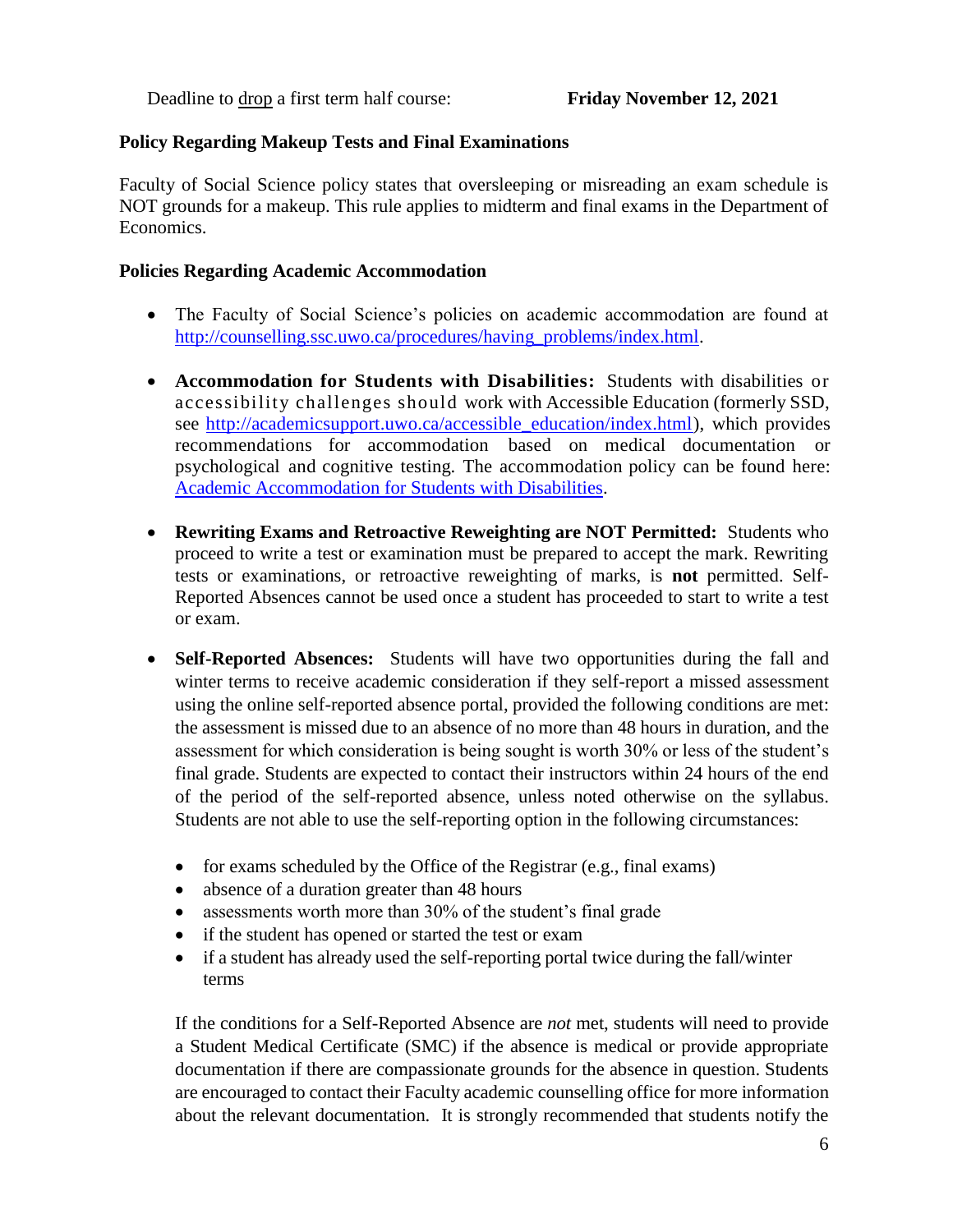Deadline to <u>drop</u> a first term half course: **Friday November 12, 2021** 

# **Policy Regarding Makeup Tests and Final Examinations**

Faculty of Social Science policy states that oversleeping or misreading an exam schedule is NOT grounds for a makeup. This rule applies to midterm and final exams in the Department of Economics.

### **Policies Regarding Academic Accommodation**

- The Faculty of Social Science's policies on academic accommodation are found at [http://counselling.ssc.uwo.ca/procedures/having\\_problems/index.html.](http://counselling.ssc.uwo.ca/procedures/having_problems/index.html)
- **Accommodation for Students with Disabilities:** Students with disabilities or accessibility challenges should work with Accessible Education (formerly SSD, see [http://academicsupport.uwo.ca/accessible\\_education/index.html\)](http://academicsupport.uwo.ca/accessible_education/index.html), which provides recommendations for accommodation based on medical documentation or psychological and cognitive testing. The accommodation policy can be found here: [Academic Accommodation for Students with Disabilities.](https://www.uwo.ca/univsec/pdf/academic_policies/appeals/Academic%20Accommodation_disabilities.pdf)
- **Rewriting Exams and Retroactive Reweighting are NOT Permitted:** Students who proceed to write a test or examination must be prepared to accept the mark. Rewriting tests or examinations, or retroactive reweighting of marks, is **not** permitted. Self-Reported Absences cannot be used once a student has proceeded to start to write a test or exam.
- **Self-Reported Absences:** Students will have two opportunities during the fall and winter terms to receive academic consideration if they self-report a missed assessment using the online self-reported absence portal, provided the following conditions are met: the assessment is missed due to an absence of no more than 48 hours in duration, and the assessment for which consideration is being sought is worth 30% or less of the student's final grade. Students are expected to contact their instructors within 24 hours of the end of the period of the self-reported absence, unless noted otherwise on the syllabus. Students are not able to use the self-reporting option in the following circumstances:
	- $\bullet$  for exams scheduled by the Office of the Registrar (e.g., final exams)
	- absence of a duration greater than 48 hours
	- assessments worth more than 30% of the student's final grade
	- if the student has opened or started the test or exam
	- if a student has already used the self-reporting portal twice during the fall/winter terms

If the conditions for a Self-Reported Absence are *not* met, students will need to provide a Student Medical Certificate (SMC) if the absence is medical or provide appropriate documentation if there are compassionate grounds for the absence in question. Students are encouraged to contact their Faculty academic counselling office for more information about the relevant documentation. It is strongly recommended that students notify the